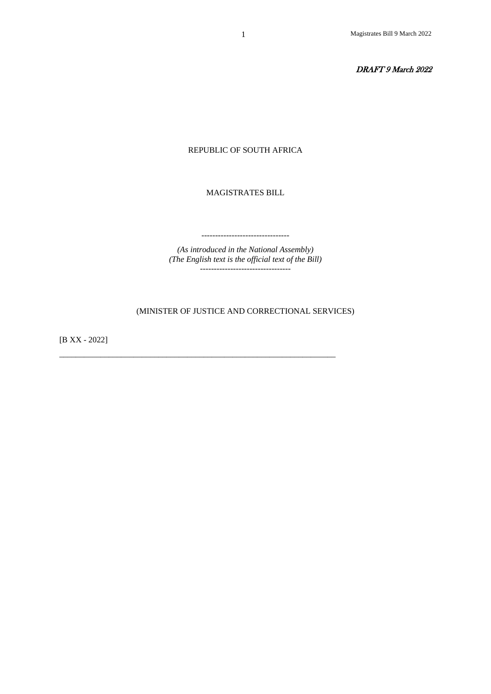DRAFT 9 March 2022

#### REPUBLIC OF SOUTH AFRICA

MAGISTRATES BILL

*(As introduced in the National Assembly) (The English text is the official text of the Bill)* ---------------------------------

--------------------------------

## (MINISTER OF JUSTICE AND CORRECTIONAL SERVICES)

\_\_\_\_\_\_\_\_\_\_\_\_\_\_\_\_\_\_\_\_\_\_\_\_\_\_\_\_\_\_\_\_\_\_\_\_\_\_\_\_\_\_\_\_\_\_\_\_\_\_\_\_\_\_\_\_\_\_\_\_\_\_\_\_\_\_\_

[B XX - 2022]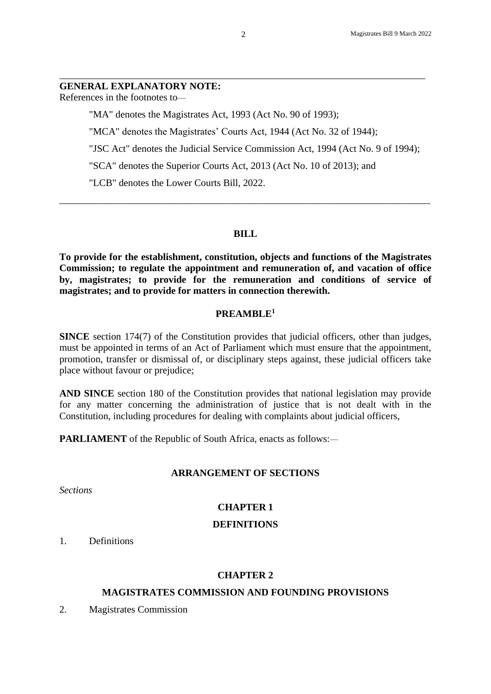#### **GENERAL EXPLANATORY NOTE:**

References in the footnotes to—

"MA" denotes the Magistrates Act, 1993 (Act No. 90 of 1993);

"MCA" denotes the Magistrates' Courts Act, 1944 (Act No. 32 of 1944);

"JSC Act" denotes the Judicial Service Commission Act, 1994 (Act No. 9 of 1994);

"SCA" denotes the Superior Courts Act, 2013 (Act No. 10 of 2013); and

"LCB" denotes the Lower Courts Bill, 2022.

#### **BILL**

\_\_\_\_\_\_\_\_\_\_\_\_\_\_\_\_\_\_\_\_\_\_\_\_\_\_\_\_\_\_\_\_\_\_\_\_\_\_\_\_\_\_\_\_\_\_\_\_\_\_\_\_\_\_\_\_\_\_\_\_\_\_\_\_\_\_\_\_\_\_\_\_\_\_\_

**To provide for the establishment, constitution, objects and functions of the Magistrates Commission; to regulate the appointment and remuneration of, and vacation of office by, magistrates; to provide for the remuneration and conditions of service of magistrates; and to provide for matters in connection therewith.**

#### **PREAMBLE<sup>1</sup>**

**SINCE** section 174(7) of the Constitution provides that judicial officers, other than judges, must be appointed in terms of an Act of Parliament which must ensure that the appointment, promotion, transfer or dismissal of, or disciplinary steps against, these judicial officers take place without favour or prejudice;

**AND SINCE** section 180 of the Constitution provides that national legislation may provide for any matter concerning the administration of justice that is not dealt with in the Constitution, including procedures for dealing with complaints about judicial officers,

**PARLIAMENT** of the Republic of South Africa, enacts as follows:—

## **ARRANGEMENT OF SECTIONS**

*Sections*

# **CHAPTER 1**

#### **DEFINITIONS**

1. Definitions

# **CHAPTER 2**

## **MAGISTRATES COMMISSION AND FOUNDING PROVISIONS**

2. Magistrates Commission

\_\_\_\_\_\_\_\_\_\_\_\_\_\_\_\_\_\_\_\_\_\_\_\_\_\_\_\_\_\_\_\_\_\_\_\_\_\_\_\_\_\_\_\_\_\_\_\_\_\_\_\_\_\_\_\_\_\_\_\_\_\_\_\_\_\_\_\_\_\_\_\_\_\_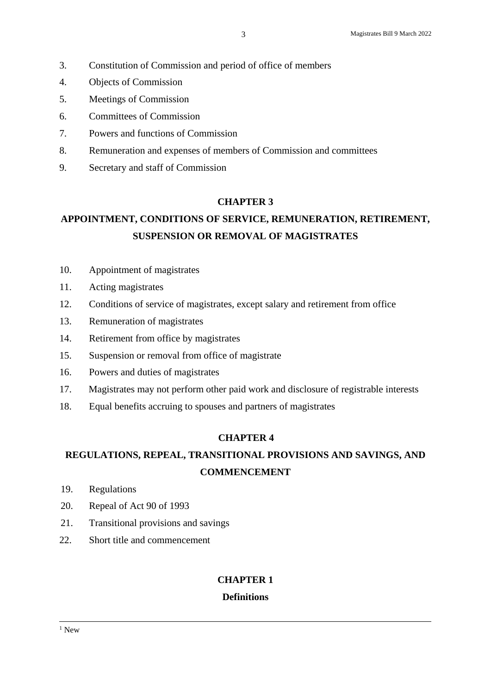- 3. Constitution of Commission and period of office of members
- 4. Objects of Commission
- 5. Meetings of Commission
- 6. Committees of Commission
- 7. Powers and functions of Commission
- 8. Remuneration and expenses of members of Commission and committees
- 9. Secretary and staff of Commission

# **CHAPTER 3**

# **APPOINTMENT, CONDITIONS OF SERVICE, REMUNERATION, RETIREMENT, SUSPENSION OR REMOVAL OF MAGISTRATES**

- 10. Appointment of magistrates
- 11. Acting magistrates
- 12. Conditions of service of magistrates, except salary and retirement from office
- 13. Remuneration of magistrates
- 14. Retirement from office by magistrates
- 15. Suspension or removal from office of magistrate
- 16. Powers and duties of magistrates
- 17. Magistrates may not perform other paid work and disclosure of registrable interests
- 18. Equal benefits accruing to spouses and partners of magistrates

# **CHAPTER 4**

# **REGULATIONS, REPEAL, TRANSITIONAL PROVISIONS AND SAVINGS, AND COMMENCEMENT**

- 19. Regulations
- 20. Repeal of Act 90 of 1993
- 21. Transitional provisions and savings
- 22. Short title and commencement

# **CHAPTER 1**

# **Definitions**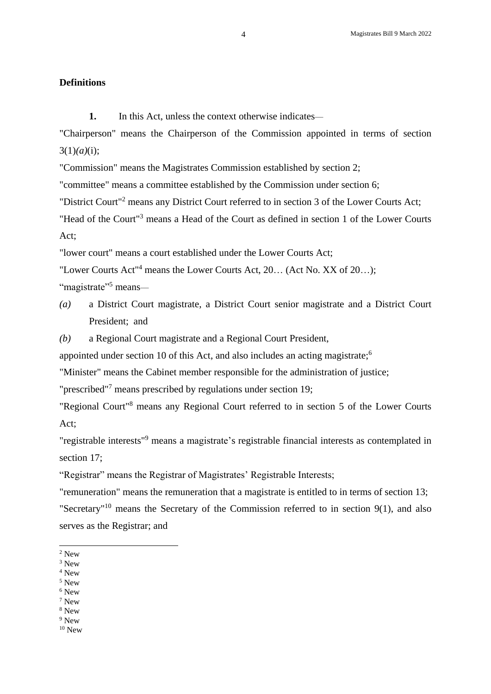## **Definitions**

**1.** In this Act, unless the context otherwise indicates—

"Chairperson" means the Chairperson of the Commission appointed in terms of section  $3(1)(a)(i);$ 

"Commission" means the Magistrates Commission established by section 2;

"committee" means a committee established by the Commission under section 6;

"District Court"<sup>2</sup> means any District Court referred to in section 3 of the Lower Courts Act;

"Head of the Court"<sup>3</sup> means a Head of the Court as defined in section 1 of the Lower Courts Act;

"lower court" means a court established under the Lower Courts Act;

"Lower Courts Act" <sup>4</sup> means the Lower Courts Act, 20… (Act No. XX of 20…);

"magistrate"<sup>5</sup> means-

- *(a)* a District Court magistrate, a District Court senior magistrate and a District Court President; and
- *(b)* a Regional Court magistrate and a Regional Court President,

appointed under section 10 of this Act, and also includes an acting magistrate;<sup>6</sup>

"Minister" means the Cabinet member responsible for the administration of justice;

"prescribed"<sup>7</sup> means prescribed by regulations under section 19;

"Regional Court"<sup>8</sup> means any Regional Court referred to in section 5 of the Lower Courts Act;

"registrable interests"<sup>9</sup> means a magistrate's registrable financial interests as contemplated in section 17;

"Registrar" means the Registrar of Magistrates' Registrable Interests;

"remuneration" means the remuneration that a magistrate is entitled to in terms of section 13;

"Secretary"<sup>10</sup> means the Secretary of the Commission referred to in section  $9(1)$ , and also serves as the Registrar; and

-

<sup>4</sup> New

 $^6$  New  $\,$ 

<sup>2</sup> New

 $^3$  New  $\,$ 

<sup>5</sup> New

<sup>7</sup> New

<sup>8</sup> New <sup>9</sup> New

 $10$  New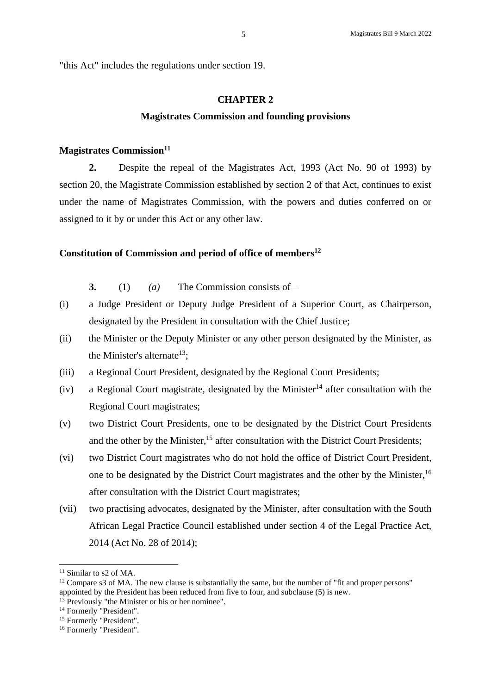"this Act" includes the regulations under section 19.

#### **CHAPTER 2**

#### **Magistrates Commission and founding provisions**

#### **Magistrates Commission<sup>11</sup>**

**2.** Despite the repeal of the Magistrates Act, 1993 (Act No. 90 of 1993) by section 20, the Magistrate Commission established by section 2 of that Act, continues to exist under the name of Magistrates Commission, with the powers and duties conferred on or assigned to it by or under this Act or any other law.

#### **Constitution of Commission and period of office of members<sup>12</sup>**

**3.** (1) *(a)* The Commission consists of—

- (i) a Judge President or Deputy Judge President of a Superior Court, as Chairperson, designated by the President in consultation with the Chief Justice;
- (ii) the Minister or the Deputy Minister or any other person designated by the Minister, as the Minister's alternate<sup>13</sup>;
- (iii) a Regional Court President, designated by the Regional Court Presidents;
- (iv) a Regional Court magistrate, designated by the Minister<sup>14</sup> after consultation with the Regional Court magistrates;
- (v) two District Court Presidents, one to be designated by the District Court Presidents and the other by the Minister,<sup>15</sup> after consultation with the District Court Presidents;
- (vi) two District Court magistrates who do not hold the office of District Court President, one to be designated by the District Court magistrates and the other by the Minister,<sup>16</sup> after consultation with the District Court magistrates;
- (vii) two practising advocates, designated by the Minister, after consultation with the South African Legal Practice Council established under section 4 of the Legal Practice Act, 2014 (Act No. 28 of 2014);

-

 $12$  Compare s3 of MA. The new clause is substantially the same, but the number of "fit and proper persons" appointed by the President has been reduced from five to four, and subclause (5) is new.

<sup>&</sup>lt;sup>11</sup> Similar to s2 of MA.

 $\frac{1}{3}$  Previously "the Minister or his or her nominee".

<sup>&</sup>lt;sup>14</sup> Formerly "President".

<sup>&</sup>lt;sup>15</sup> Formerly "President".

<sup>&</sup>lt;sup>16</sup> Formerly "President".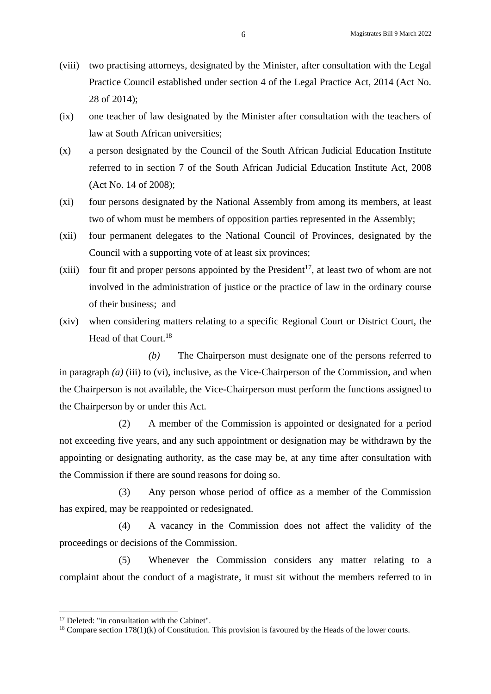- (viii) two practising attorneys, designated by the Minister, after consultation with the Legal Practice Council established under section 4 of the Legal Practice Act, 2014 (Act No. 28 of 2014);
- (ix) one teacher of law designated by the Minister after consultation with the teachers of law at South African universities;
- (x) a person designated by the Council of the South African Judicial Education Institute referred to in section 7 of the South African Judicial Education Institute Act, 2008 (Act No. 14 of 2008);
- (xi) four persons designated by the National Assembly from among its members, at least two of whom must be members of opposition parties represented in the Assembly;
- (xii) four permanent delegates to the National Council of Provinces, designated by the Council with a supporting vote of at least six provinces;
- (xiii) four fit and proper persons appointed by the President<sup>17</sup>, at least two of whom are not involved in the administration of justice or the practice of law in the ordinary course of their business; and
- (xiv) when considering matters relating to a specific Regional Court or District Court, the Head of that Court.<sup>18</sup>

*(b)* The Chairperson must designate one of the persons referred to in paragraph *(a)* (iii) to (vi), inclusive, as the Vice-Chairperson of the Commission, and when the Chairperson is not available, the Vice-Chairperson must perform the functions assigned to the Chairperson by or under this Act.

(2) A member of the Commission is appointed or designated for a period not exceeding five years, and any such appointment or designation may be withdrawn by the appointing or designating authority, as the case may be, at any time after consultation with the Commission if there are sound reasons for doing so.

(3) Any person whose period of office as a member of the Commission has expired, may be reappointed or redesignated.

(4) A vacancy in the Commission does not affect the validity of the proceedings or decisions of the Commission.

(5) Whenever the Commission considers any matter relating to a complaint about the conduct of a magistrate, it must sit without the members referred to in

<sup>&</sup>lt;sup>17</sup> Deleted: "in consultation with the Cabinet".

 $18$  Compare section 178(1)(k) of Constitution. This provision is favoured by the Heads of the lower courts.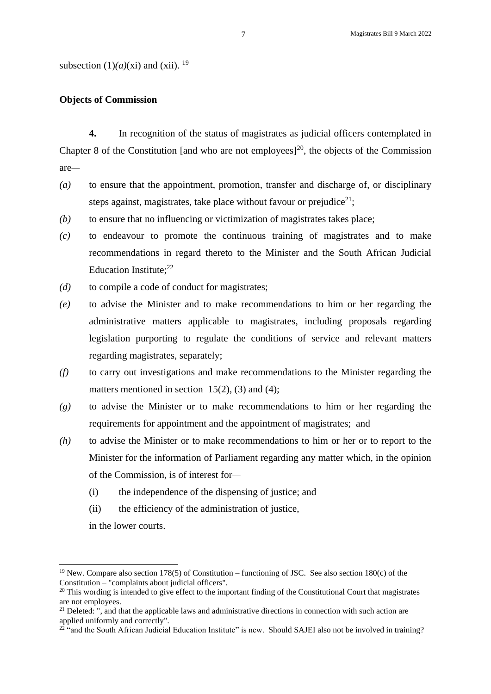subsection  $(1)(a)(xi)$  and  $(xii)$ . <sup>19</sup>

#### **Objects of Commission**

**4.** In recognition of the status of magistrates as judicial officers contemplated in Chapter 8 of the Constitution [and who are not employees]<sup>20</sup>, the objects of the Commission are—

- *(a)* to ensure that the appointment, promotion, transfer and discharge of, or disciplinary steps against, magistrates, take place without favour or prejudice<sup>21</sup>;
- *(b)* to ensure that no influencing or victimization of magistrates takes place;
- *(c)* to endeavour to promote the continuous training of magistrates and to make recommendations in regard thereto to the Minister and the South African Judicial Education Institute; 22
- *(d)* to compile a code of conduct for magistrates;
- *(e)* to advise the Minister and to make recommendations to him or her regarding the administrative matters applicable to magistrates, including proposals regarding legislation purporting to regulate the conditions of service and relevant matters regarding magistrates, separately;
- *(f)* to carry out investigations and make recommendations to the Minister regarding the matters mentioned in section  $15(2)$ , (3) and (4);
- *(g)* to advise the Minister or to make recommendations to him or her regarding the requirements for appointment and the appointment of magistrates; and
- *(h)* to advise the Minister or to make recommendations to him or her or to report to the Minister for the information of Parliament regarding any matter which, in the opinion of the Commission, is of interest for—
	- (i) the independence of the dispensing of justice; and
	- (ii) the efficiency of the administration of justice,

in the lower courts.

<sup>&</sup>lt;sup>19</sup> New. Compare also section 178(5) of Constitution – functioning of JSC. See also section 180(c) of the Constitution – "complaints about judicial officers".

<sup>&</sup>lt;sup>20</sup> This wording is intended to give effect to the important finding of the Constitutional Court that magistrates are not employees.

<sup>&</sup>lt;sup>21</sup> Deleted: ", and that the applicable laws and administrative directions in connection with such action are applied uniformly and correctly".

<sup>&</sup>lt;sup>22</sup> "and the South African Judicial Education Institute" is new. Should SAJEI also not be involved in training?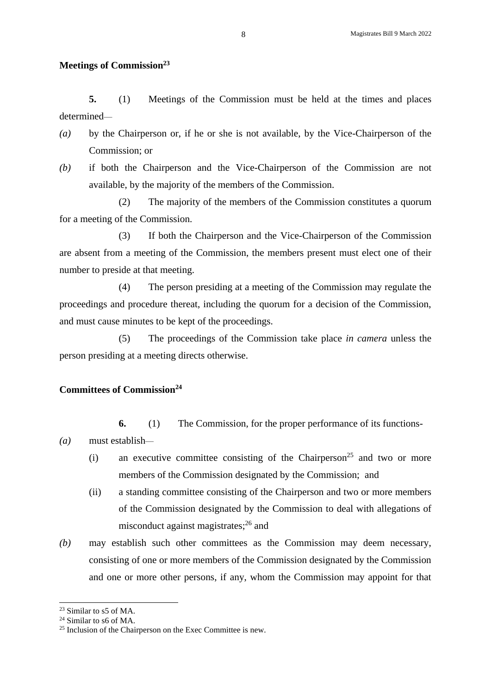#### **Meetings of Commission<sup>23</sup>**

**5.** (1) Meetings of the Commission must be held at the times and places determined—

- *(a)* by the Chairperson or, if he or she is not available, by the Vice-Chairperson of the Commission; or
- *(b)* if both the Chairperson and the Vice-Chairperson of the Commission are not available, by the majority of the members of the Commission.

(2) The majority of the members of the Commission constitutes a quorum for a meeting of the Commission.

(3) If both the Chairperson and the Vice-Chairperson of the Commission are absent from a meeting of the Commission, the members present must elect one of their number to preside at that meeting.

(4) The person presiding at a meeting of the Commission may regulate the proceedings and procedure thereat, including the quorum for a decision of the Commission, and must cause minutes to be kept of the proceedings.

(5) The proceedings of the Commission take place *in camera* unless the person presiding at a meeting directs otherwise.

#### **Committees of Commission<sup>24</sup>**

**6.** (1) The Commission, for the proper performance of its functions-

- *(a)* must establish—
	- (i) an executive committee consisting of the Chairperson<sup>25</sup> and two or more members of the Commission designated by the Commission; and
	- (ii) a standing committee consisting of the Chairperson and two or more members of the Commission designated by the Commission to deal with allegations of misconduct against magistrates; <sup>26</sup> and
- *(b)* may establish such other committees as the Commission may deem necessary, consisting of one or more members of the Commission designated by the Commission and one or more other persons, if any, whom the Commission may appoint for that

<sup>23</sup> Similar to s5 of MA.

<sup>&</sup>lt;sup>24</sup> Similar to s6 of MA.

<sup>&</sup>lt;sup>25</sup> Inclusion of the Chairperson on the Exec Committee is new.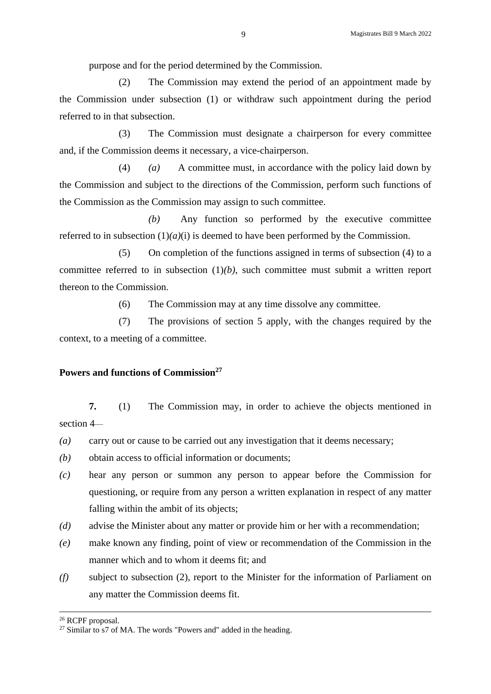purpose and for the period determined by the Commission.

(2) The Commission may extend the period of an appointment made by the Commission under subsection (1) or withdraw such appointment during the period referred to in that subsection.

(3) The Commission must designate a chairperson for every committee and, if the Commission deems it necessary, a vice-chairperson.

(4) *(a)* A committee must, in accordance with the policy laid down by the Commission and subject to the directions of the Commission, perform such functions of the Commission as the Commission may assign to such committee.

*(b)* Any function so performed by the executive committee referred to in subsection  $(1)(a)(i)$  is deemed to have been performed by the Commission.

(5) On completion of the functions assigned in terms of subsection (4) to a committee referred to in subsection  $(1)(b)$ , such committee must submit a written report thereon to the Commission.

(6) The Commission may at any time dissolve any committee.

(7) The provisions of section 5 apply, with the changes required by the context, to a meeting of a committee.

# **Powers and functions of Commission<sup>27</sup>**

**7.** (1) The Commission may, in order to achieve the objects mentioned in section 4—

*(a)* carry out or cause to be carried out any investigation that it deems necessary;

- *(b)* obtain access to official information or documents;
- *(c)* hear any person or summon any person to appear before the Commission for questioning, or require from any person a written explanation in respect of any matter falling within the ambit of its objects;
- *(d)* advise the Minister about any matter or provide him or her with a recommendation;
- *(e)* make known any finding, point of view or recommendation of the Commission in the manner which and to whom it deems fit; and
- *(f)* subject to subsection (2), report to the Minister for the information of Parliament on any matter the Commission deems fit.

<sup>26</sup> RCPF proposal.

 $27$  Similar to s7 of MA. The words "Powers and" added in the heading.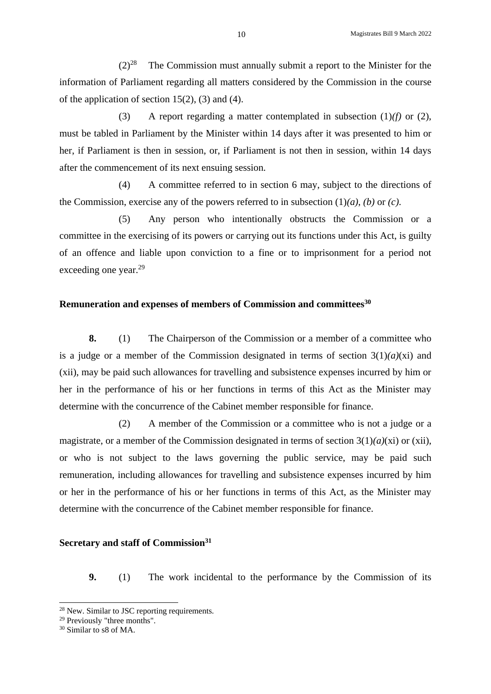$(2)^{28}$ The Commission must annually submit a report to the Minister for the information of Parliament regarding all matters considered by the Commission in the course of the application of section  $15(2)$ , (3) and (4).

(3) A report regarding a matter contemplated in subsection  $(1)/f$  or  $(2)$ , must be tabled in Parliament by the Minister within 14 days after it was presented to him or her, if Parliament is then in session, or, if Parliament is not then in session, within 14 days after the commencement of its next ensuing session.

(4) A committee referred to in section 6 may, subject to the directions of the Commission, exercise any of the powers referred to in subsection (1)*(a)*, *(b)* or *(c)*.

(5) Any person who intentionally obstructs the Commission or a committee in the exercising of its powers or carrying out its functions under this Act, is guilty of an offence and liable upon conviction to a fine or to imprisonment for a period not exceeding one year. 29

# **Remuneration and expenses of members of Commission and committees<sup>30</sup>**

**8.** (1) The Chairperson of the Commission or a member of a committee who is a judge or a member of the Commission designated in terms of section  $3(1)(a)(xi)$  and (xii), may be paid such allowances for travelling and subsistence expenses incurred by him or her in the performance of his or her functions in terms of this Act as the Minister may determine with the concurrence of the Cabinet member responsible for finance.

(2) A member of the Commission or a committee who is not a judge or a magistrate, or a member of the Commission designated in terms of section 3(1)*(a)*(xi) or (xii), or who is not subject to the laws governing the public service, may be paid such remuneration, including allowances for travelling and subsistence expenses incurred by him or her in the performance of his or her functions in terms of this Act, as the Minister may determine with the concurrence of the Cabinet member responsible for finance.

#### **Secretary and staff of Commission<sup>31</sup>**

**9.** (1) The work incidental to the performance by the Commission of its

<sup>&</sup>lt;sup>28</sup> New. Similar to JSC reporting requirements.

<sup>29</sup> Previously "three months".

<sup>30</sup> Similar to s8 of MA.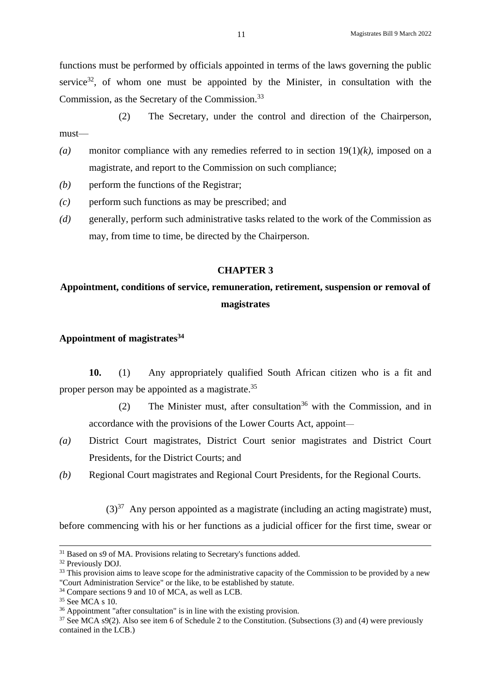functions must be performed by officials appointed in terms of the laws governing the public service<sup>32</sup>, of whom one must be appointed by the Minister, in consultation with the Commission, as the Secretary of the Commission.<sup>33</sup>

(2) The Secretary, under the control and direction of the Chairperson, must—

- *(a)* monitor compliance with any remedies referred to in section 19(1)*(k)*, imposed on a magistrate, and report to the Commission on such compliance;
- *(b)* perform the functions of the Registrar;
- *(c)* perform such functions as may be prescribed; and
- *(d)* generally, perform such administrative tasks related to the work of the Commission as may, from time to time, be directed by the Chairperson.

#### **CHAPTER 3**

# **Appointment, conditions of service, remuneration, retirement, suspension or removal of magistrates**

# **Appointment of magistrates<sup>34</sup>**

**10.** (1) Any appropriately qualified South African citizen who is a fit and proper person may be appointed as a magistrate.<sup>35</sup>

(2) The Minister must, after consultation<sup>36</sup> with the Commission, and in accordance with the provisions of the Lower Courts Act, appoint—

- *(a)* District Court magistrates, District Court senior magistrates and District Court Presidents, for the District Courts; and
- *(b)* Regional Court magistrates and Regional Court Presidents, for the Regional Courts.

 $(3)$ <sup>37</sup> Any person appointed as a magistrate (including an acting magistrate) must, before commencing with his or her functions as a judicial officer for the first time, swear or

<sup>&</sup>lt;sup>31</sup> Based on s9 of MA. Provisions relating to Secretary's functions added.

<sup>32</sup> Previously DOJ.

<sup>&</sup>lt;sup>33</sup> This provision aims to leave scope for the administrative capacity of the Commission to be provided by a new "Court Administration Service" or the like, to be established by statute.

<sup>34</sup> Compare sections 9 and 10 of MCA, as well as LCB.

<sup>35</sup> See MCA s 10.

<sup>&</sup>lt;sup>36</sup> Appointment "after consultation" is in line with the existing provision.

<sup>37</sup> See MCA s9(2). Also see item 6 of Schedule 2 to the Constitution. (Subsections (3) and (4) were previously contained in the LCB.)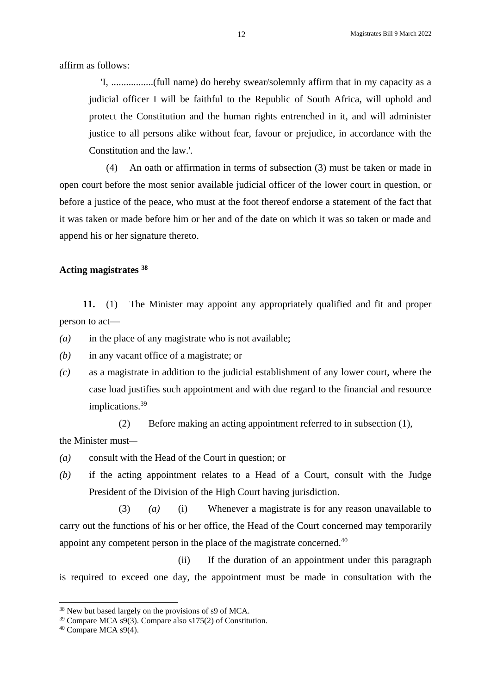affirm as follows:

'I, .................(full name) do hereby swear/solemnly affirm that in my capacity as a judicial officer I will be faithful to the Republic of South Africa, will uphold and protect the Constitution and the human rights entrenched in it, and will administer justice to all persons alike without fear, favour or prejudice, in accordance with the Constitution and the law.'.

(4) An oath or affirmation in terms of subsection (3) must be taken or made in open court before the most senior available judicial officer of the lower court in question, or before a justice of the peace, who must at the foot thereof endorse a statement of the fact that it was taken or made before him or her and of the date on which it was so taken or made and append his or her signature thereto.

# **Acting magistrates <sup>38</sup>**

**11.** (1) The Minister may appoint any appropriately qualified and fit and proper person to act—

*(a)* in the place of any magistrate who is not available;

*(b)* in any vacant office of a magistrate; or

*(c)* as a magistrate in addition to the judicial establishment of any lower court, where the case load justifies such appointment and with due regard to the financial and resource implications. 39

(2) Before making an acting appointment referred to in subsection (1),

the Minister must—

- *(a)* consult with the Head of the Court in question; or
- *(b)* if the acting appointment relates to a Head of a Court, consult with the Judge President of the Division of the High Court having jurisdiction.

(3) *(a)* (i) Whenever a magistrate is for any reason unavailable to carry out the functions of his or her office, the Head of the Court concerned may temporarily appoint any competent person in the place of the magistrate concerned.<sup>40</sup>

(ii) If the duration of an appointment under this paragraph is required to exceed one day, the appointment must be made in consultation with the

<sup>38</sup> New but based largely on the provisions of s9 of MCA.

<sup>39</sup> Compare MCA s9(3). Compare also s175(2) of Constitution.

<sup>40</sup> Compare MCA s9(4).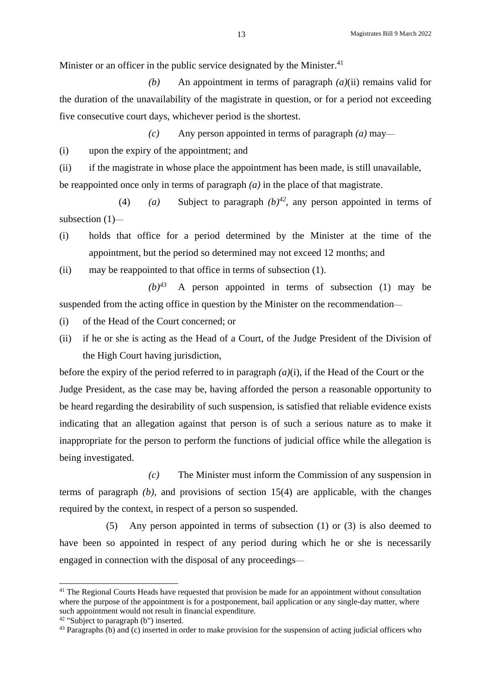Minister or an officer in the public service designated by the Minister.<sup>41</sup>

*(b)* An appointment in terms of paragraph *(a)*(ii) remains valid for the duration of the unavailability of the magistrate in question, or for a period not exceeding five consecutive court days, whichever period is the shortest.

*(c)* Any person appointed in terms of paragraph *(a)* may—

(i) upon the expiry of the appointment; and

(ii) if the magistrate in whose place the appointment has been made, is still unavailable, be reappointed once only in terms of paragraph *(a)* in the place of that magistrate.

(4) *(a)* Subject to paragraph  $(b)^{42}$ , any person appointed in terms of subsection (1)—

(i) holds that office for a period determined by the Minister at the time of the appointment, but the period so determined may not exceed 12 months; and

(ii) may be reappointed to that office in terms of subsection (1).

 $(b)^{43}$  A person appointed in terms of subsection (1) may be suspended from the acting office in question by the Minister on the recommendation—

- (i) of the Head of the Court concerned; or
- (ii) if he or she is acting as the Head of a Court, of the Judge President of the Division of the High Court having jurisdiction,

before the expiry of the period referred to in paragraph *(a)*(i), if the Head of the Court or the Judge President, as the case may be, having afforded the person a reasonable opportunity to be heard regarding the desirability of such suspension, is satisfied that reliable evidence exists indicating that an allegation against that person is of such a serious nature as to make it inappropriate for the person to perform the functions of judicial office while the allegation is being investigated.

*(c)* The Minister must inform the Commission of any suspension in terms of paragraph *(b)*, and provisions of section 15(4) are applicable, with the changes required by the context, in respect of a person so suspended.

(5) Any person appointed in terms of subsection (1) or (3) is also deemed to have been so appointed in respect of any period during which he or she is necessarily engaged in connection with the disposal of any proceedings—

<sup>&</sup>lt;sup>41</sup> The Regional Courts Heads have requested that provision be made for an appointment without consultation where the purpose of the appointment is for a postponement, bail application or any single-day matter, where such appointment would not result in financial expenditure.

<sup>42</sup> "Subject to paragraph (b") inserted.

<sup>&</sup>lt;sup>43</sup> Paragraphs (b) and (c) inserted in order to make provision for the suspension of acting judicial officers who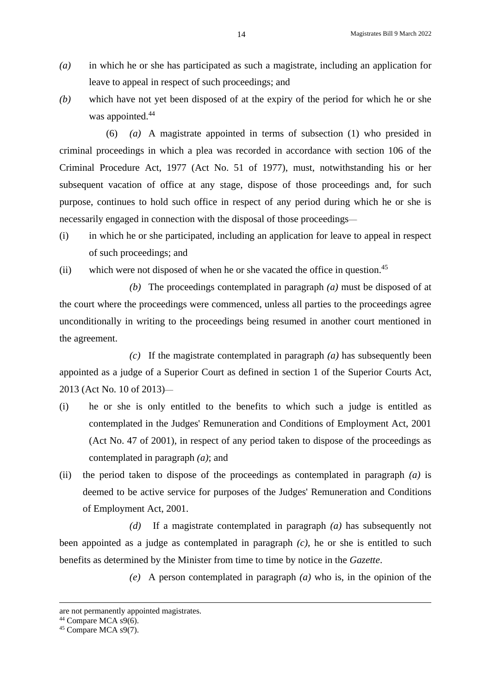- *(a)* in which he or she has participated as such a magistrate, including an application for leave to appeal in respect of such proceedings; and
- *(b)* which have not yet been disposed of at the expiry of the period for which he or she was appointed.<sup>44</sup>

(6) *(a)* A magistrate appointed in terms of subsection (1) who presided in criminal proceedings in which a plea was recorded in accordance with section 106 of the Criminal Procedure Act, 1977 (Act No. 51 of 1977), must, notwithstanding his or her subsequent vacation of office at any stage, dispose of those proceedings and, for such purpose, continues to hold such office in respect of any period during which he or she is necessarily engaged in connection with the disposal of those proceedings—

- (i) in which he or she participated, including an application for leave to appeal in respect of such proceedings; and
- (ii) which were not disposed of when he or she vacated the office in question.<sup>45</sup>

*(b)* The proceedings contemplated in paragraph *(a)* must be disposed of at the court where the proceedings were commenced, unless all parties to the proceedings agree unconditionally in writing to the proceedings being resumed in another court mentioned in the agreement.

*(c)* If the magistrate contemplated in paragraph *(a)* has subsequently been appointed as a judge of a Superior Court as defined in section 1 of the Superior Courts Act, 2013 (Act No. 10 of 2013)—

- (i) he or she is only entitled to the benefits to which such a judge is entitled as contemplated in the Judges' Remuneration and Conditions of Employment Act, 2001 (Act No. 47 of 2001), in respect of any period taken to dispose of the proceedings as contemplated in paragraph *(a)*; and
- (ii) the period taken to dispose of the proceedings as contemplated in paragraph *(a)* is deemed to be active service for purposes of the Judges' Remuneration and Conditions of Employment Act, 2001.

*(d)* If a magistrate contemplated in paragraph *(a)* has subsequently not been appointed as a judge as contemplated in paragraph *(c)*, he or she is entitled to such benefits as determined by the Minister from time to time by notice in the *Gazette*.

*(e)* A person contemplated in paragraph *(a)* who is, in the opinion of the

are not permanently appointed magistrates.

<sup>&</sup>lt;sup>44</sup> Compare MCA s9(6).

<sup>45</sup> Compare MCA s9(7).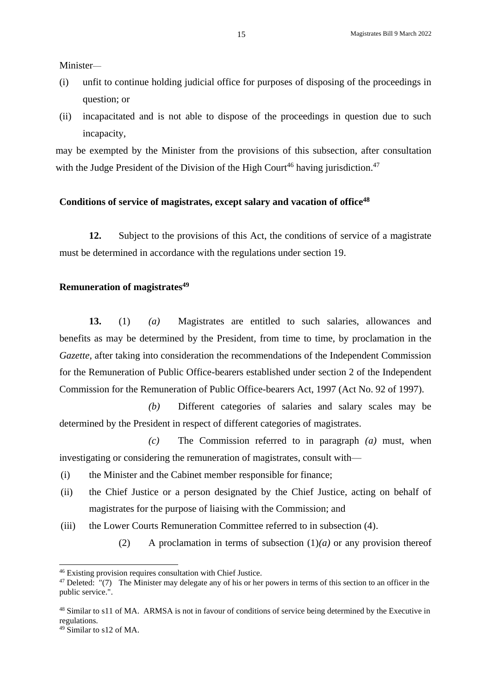Minister—

- (i) unfit to continue holding judicial office for purposes of disposing of the proceedings in question; or
- (ii) incapacitated and is not able to dispose of the proceedings in question due to such incapacity,

may be exempted by the Minister from the provisions of this subsection, after consultation with the Judge President of the Division of the High Court<sup>46</sup> having jurisdiction.<sup>47</sup>

#### **Conditions of service of magistrates, except salary and vacation of office<sup>48</sup>**

**12.** Subject to the provisions of this Act, the conditions of service of a magistrate must be determined in accordance with the regulations under section 19.

#### **Remuneration of magistrates<sup>49</sup>**

**13.** (1) *(a)* Magistrates are entitled to such salaries, allowances and benefits as may be determined by the President, from time to time, by proclamation in the *Gazette*, after taking into consideration the recommendations of the Independent Commission for the Remuneration of Public Office-bearers established under section 2 of the Independent Commission for the Remuneration of Public Office-bearers Act, 1997 (Act No. 92 of 1997).

*(b)* Different categories of salaries and salary scales may be determined by the President in respect of different categories of magistrates.

*(c)* The Commission referred to in paragraph *(a)* must, when investigating or considering the remuneration of magistrates, consult with—

- (i) the Minister and the Cabinet member responsible for finance;
- (ii) the Chief Justice or a person designated by the Chief Justice, acting on behalf of magistrates for the purpose of liaising with the Commission; and
- (iii) the Lower Courts Remuneration Committee referred to in subsection (4).
	- (2) A proclamation in terms of subsection (1)*(a)* or any provision thereof

<sup>46</sup> Existing provision requires consultation with Chief Justice.

<sup>&</sup>lt;sup>47</sup> Deleted:  $\cdot$  (7) The Minister may delegate any of his or her powers in terms of this section to an officer in the public service.".

<sup>48</sup> Similar to s11 of MA. ARMSA is not in favour of conditions of service being determined by the Executive in regulations.

<sup>49</sup> Similar to s12 of MA.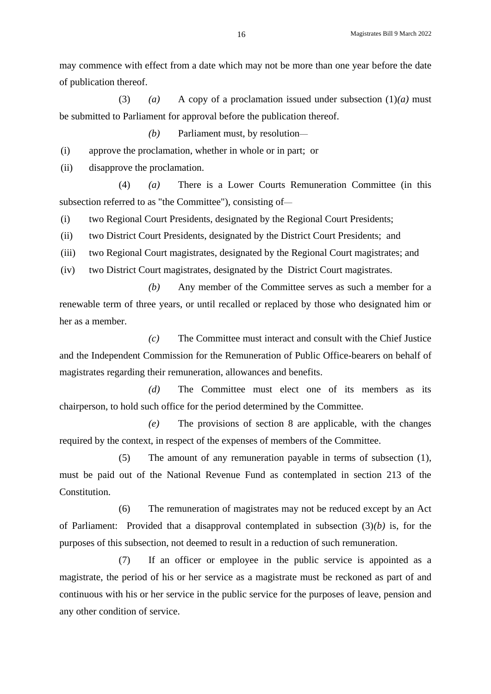may commence with effect from a date which may not be more than one year before the date of publication thereof.

(3) *(a)* A copy of a proclamation issued under subsection (1)*(a)* must be submitted to Parliament for approval before the publication thereof.

*(b)* Parliament must, by resolution—

(i) approve the proclamation, whether in whole or in part; or

(ii) disapprove the proclamation.

(4) *(a)* There is a Lower Courts Remuneration Committee (in this subsection referred to as "the Committee"), consisting of—

(i) two Regional Court Presidents, designated by the Regional Court Presidents;

(ii) two District Court Presidents, designated by the District Court Presidents; and

(iii) two Regional Court magistrates, designated by the Regional Court magistrates; and

(iv) two District Court magistrates, designated by the District Court magistrates.

*(b)* Any member of the Committee serves as such a member for a renewable term of three years, or until recalled or replaced by those who designated him or her as a member.

*(c)* The Committee must interact and consult with the Chief Justice and the Independent Commission for the Remuneration of Public Office-bearers on behalf of magistrates regarding their remuneration, allowances and benefits.

*(d)* The Committee must elect one of its members as its chairperson, to hold such office for the period determined by the Committee.

*(e)* The provisions of section 8 are applicable, with the changes required by the context, in respect of the expenses of members of the Committee.

(5) The amount of any remuneration payable in terms of subsection (1), must be paid out of the National Revenue Fund as contemplated in section 213 of the Constitution.

(6) The remuneration of magistrates may not be reduced except by an Act of Parliament: Provided that a disapproval contemplated in subsection (3)*(b)* is, for the purposes of this subsection, not deemed to result in a reduction of such remuneration.

(7) If an officer or employee in the public service is appointed as a magistrate, the period of his or her service as a magistrate must be reckoned as part of and continuous with his or her service in the public service for the purposes of leave, pension and any other condition of service.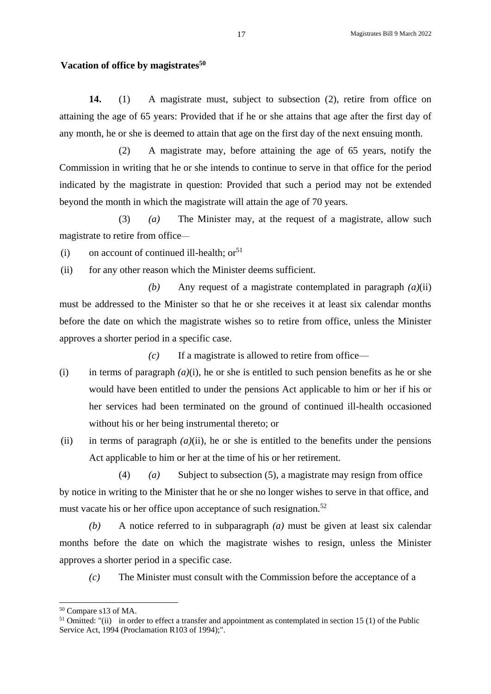#### **Vacation of office by magistrates<sup>50</sup>**

**14.** (1) A magistrate must, subject to subsection (2), retire from office on attaining the age of 65 years: Provided that if he or she attains that age after the first day of any month, he or she is deemed to attain that age on the first day of the next ensuing month.

(2) A magistrate may, before attaining the age of 65 years, notify the Commission in writing that he or she intends to continue to serve in that office for the period indicated by the magistrate in question: Provided that such a period may not be extended beyond the month in which the magistrate will attain the age of 70 years.

(3) *(a)* The Minister may, at the request of a magistrate, allow such magistrate to retire from office—

(i) on account of continued ill-health;  $or<sup>51</sup>$ 

(ii) for any other reason which the Minister deems sufficient.

*(b)* Any request of a magistrate contemplated in paragraph *(a)*(ii) must be addressed to the Minister so that he or she receives it at least six calendar months before the date on which the magistrate wishes so to retire from office, unless the Minister approves a shorter period in a specific case.

*(c)* If a magistrate is allowed to retire from office—

- (i) in terms of paragraph  $(a)(i)$ , he or she is entitled to such pension benefits as he or she would have been entitled to under the pensions Act applicable to him or her if his or her services had been terminated on the ground of continued ill-health occasioned without his or her being instrumental thereto; or
- (ii) in terms of paragraph  $(a)$ (ii), he or she is entitled to the benefits under the pensions Act applicable to him or her at the time of his or her retirement.

(4) *(a)* Subject to subsection (5), a magistrate may resign from office by notice in writing to the Minister that he or she no longer wishes to serve in that office, and must vacate his or her office upon acceptance of such resignation.<sup>52</sup>

*(b)* A notice referred to in subparagraph *(a)* must be given at least six calendar months before the date on which the magistrate wishes to resign, unless the Minister approves a shorter period in a specific case.

*(c)* The Minister must consult with the Commission before the acceptance of a

<sup>50</sup> Compare s13 of MA.

<sup>&</sup>lt;sup>51</sup> Omitted: "(ii) in order to effect a transfer and appointment as contemplated in section 15 (1) of the Public Service Act, 1994 (Proclamation R103 of 1994);".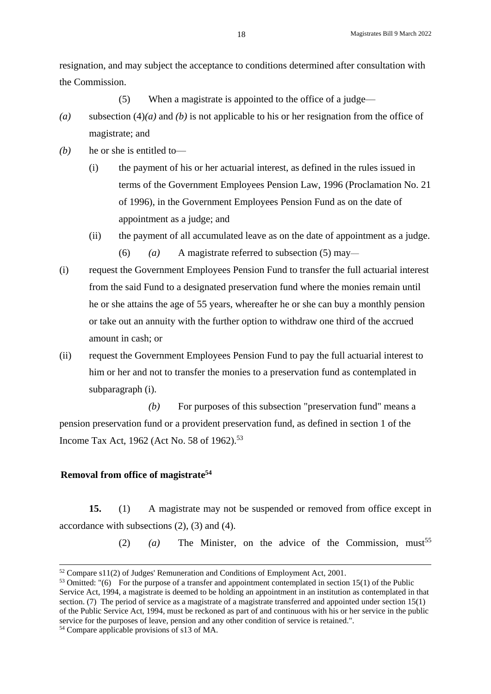resignation, and may subject the acceptance to conditions determined after consultation with the Commission.

(5) When a magistrate is appointed to the office of a judge—

- *(a)* subsection (4)*(a)* and *(b)* is not applicable to his or her resignation from the office of magistrate; and
- *(b)* he or she is entitled to—
	- (i) the payment of his or her actuarial interest, as defined in the rules issued in terms of the Government Employees Pension Law, 1996 [\(Proclamation No. 21](http://dojcdnoc-ln1/nxt/gateway.dll/jilc/kilc/6brg/of8n/pf8n?f=templates$fn=document-frameset.htm#0)  [of 1996\)](http://dojcdnoc-ln1/nxt/gateway.dll/jilc/kilc/6brg/of8n/pf8n?f=templates$fn=document-frameset.htm#0), in the Government Employees Pension Fund as on the date of appointment as a judge; and
	- (ii) the payment of all accumulated leave as on the date of appointment as a judge. (6) *(a)* A magistrate referred to subsection (5) may—
- (i) request the Government Employees Pension Fund to transfer the full actuarial interest from the said Fund to a designated preservation fund where the monies remain until he or she attains the age of 55 years, whereafter he or she can buy a monthly pension or take out an annuity with the further option to withdraw one third of the accrued amount in cash; or
- (ii) request the Government Employees Pension Fund to pay the full actuarial interest to him or her and not to transfer the monies to a preservation fund as contemplated in subparagraph (i).

*(b)* For purposes of this subsection "preservation fund" means a pension preservation fund or a provident preservation fund, as defined in section 1 of the Income Tax Act, 1962 (Act No. 58 of 1962).<sup>53</sup>

# **Removal from office of magistrate<sup>54</sup>**

**15.** (1) A magistrate may not be suspended or removed from office except in accordance with subsections (2), (3) and (4).

(2)  $(a)$  The Minister, on the advice of the Commission, must<sup>55</sup>

<sup>52</sup> Compare s11(2) of Judges' Remuneration and Conditions of Employment Act, 2001.

 $53$  Omitted: "(6) For the purpose of a transfer and appointment contemplated in section 15(1) of the Public Service Act, 1994, a magistrate is deemed to be holding an appointment in an institution as contemplated in that section. (7) The period of service as a magistrate of a magistrate transferred and appointed under section  $15(1)$ of the Public Service Act, 1994, must be reckoned as part of and continuous with his or her service in the public service for the purposes of leave, pension and any other condition of service is retained.".

<sup>54</sup> Compare applicable provisions of s13 of MA.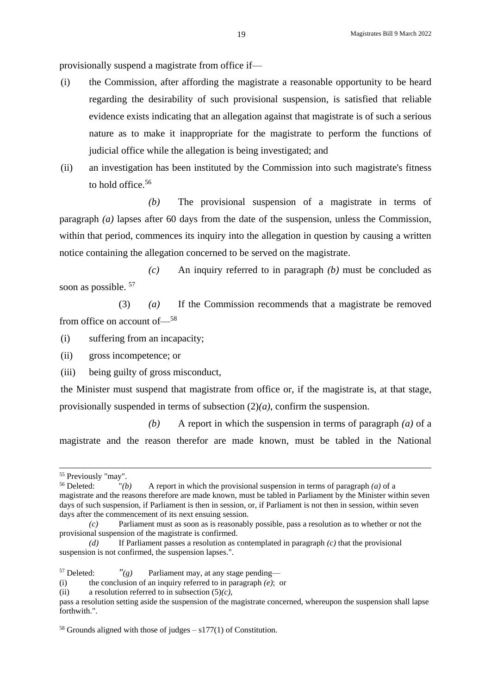provisionally suspend a magistrate from office if—

- (i) the Commission, after affording the magistrate a reasonable opportunity to be heard regarding the desirability of such provisional suspension, is satisfied that reliable evidence exists indicating that an allegation against that magistrate is of such a serious nature as to make it inappropriate for the magistrate to perform the functions of judicial office while the allegation is being investigated; and
- (ii) an investigation has been instituted by the Commission into such magistrate's fitness to hold office.<sup>56</sup>

*(b)* The provisional suspension of a magistrate in terms of paragraph *(a)* lapses after 60 days from the date of the suspension, unless the Commission, within that period, commences its inquiry into the allegation in question by causing a written notice containing the allegation concerned to be served on the magistrate.

*(c)* An inquiry referred to in paragraph *(b)* must be concluded as soon as possible.  $57$ 

(3) *(a)* If the Commission recommends that a magistrate be removed from office on account of—<sup>58</sup>

(i) suffering from an incapacity;

(ii) gross incompetence; or

(iii) being guilty of gross misconduct,

the Minister must suspend that magistrate from office or, if the magistrate is, at that stage, provisionally suspended in terms of subsection (2)*(a)*, confirm the suspension.

*(b)* A report in which the suspension in terms of paragraph *(a)* of a magistrate and the reason therefor are made known, must be tabled in the National

1

<sup>&</sup>lt;sup>55</sup> Previously "may".<br> $56$  Deleted: "(*b* 

 $f'(b)$  A report in which the provisional suspension in terms of paragraph *(a)* of a magistrate and the reasons therefore are made known, must be tabled in Parliament by the Minister within seven days of such suspension, if Parliament is then in session, or, if Parliament is not then in session, within seven days after the commencement of its next ensuing session.

*<sup>(</sup>c)* Parliament must as soon as is reasonably possible, pass a resolution as to whether or not the provisional suspension of the magistrate is confirmed.

*<sup>(</sup>d)* If Parliament passes a resolution as contemplated in paragraph *(c)* that the provisional suspension is not confirmed, the suspension lapses.".

<sup>&</sup>lt;sup>57</sup> Deleted:  $\frac{r}{g}$  Parliament may, at any stage pending—

<sup>(</sup>i) the conclusion of an inquiry referred to in paragraph *(e)*; or

<sup>(</sup>ii) a resolution referred to in subsection (5)*(c)*,

pass a resolution setting aside the suspension of the magistrate concerned, whereupon the suspension shall lapse forthwith.".

 $58$  Grounds aligned with those of judges – s177(1) of Constitution.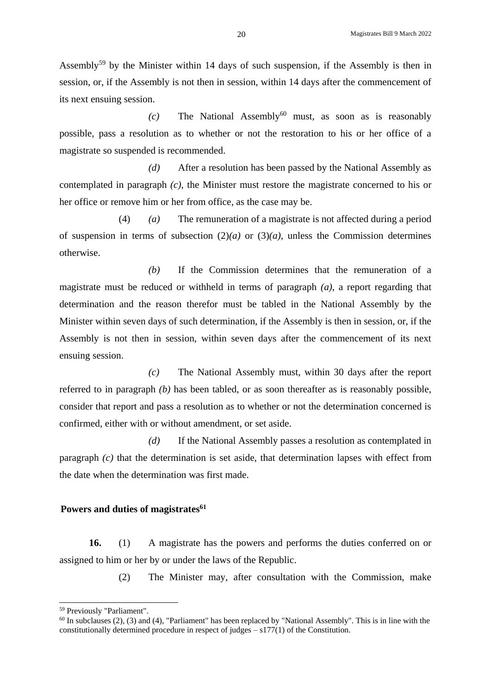Assembly<sup>59</sup> by the Minister within 14 days of such suspension, if the Assembly is then in session, or, if the Assembly is not then in session, within 14 days after the commencement of its next ensuing session.

 $(c)$  The National Assembly<sup>60</sup> must, as soon as is reasonably possible, pass a resolution as to whether or not the restoration to his or her office of a magistrate so suspended is recommended.

*(d)* After a resolution has been passed by the National Assembly as contemplated in paragraph *(c)*, the Minister must restore the magistrate concerned to his or her office or remove him or her from office, as the case may be.

(4) *(a)* The remuneration of a magistrate is not affected during a period of suspension in terms of subsection  $(2)(a)$  or  $(3)(a)$ , unless the Commission determines otherwise.

*(b)* If the Commission determines that the remuneration of a magistrate must be reduced or withheld in terms of paragraph *(a)*, a report regarding that determination and the reason therefor must be tabled in the National Assembly by the Minister within seven days of such determination, if the Assembly is then in session, or, if the Assembly is not then in session, within seven days after the commencement of its next ensuing session.

*(c)* The National Assembly must, within 30 days after the report referred to in paragraph *(b)* has been tabled, or as soon thereafter as is reasonably possible, consider that report and pass a resolution as to whether or not the determination concerned is confirmed, either with or without amendment, or set aside.

*(d)* If the National Assembly passes a resolution as contemplated in paragraph *(c)* that the determination is set aside, that determination lapses with effect from the date when the determination was first made.

## **Powers and duties of magistrates<sup>61</sup>**

**16.** (1) A magistrate has the powers and performs the duties conferred on or assigned to him or her by or under the laws of the Republic.

(2) The Minister may, after consultation with the Commission, make

<sup>59</sup> Previously "Parliament".

 $60$  In subclauses (2), (3) and (4), "Parliament" has been replaced by "National Assembly". This is in line with the constitutionally determined procedure in respect of judges – s177(1) of the Constitution.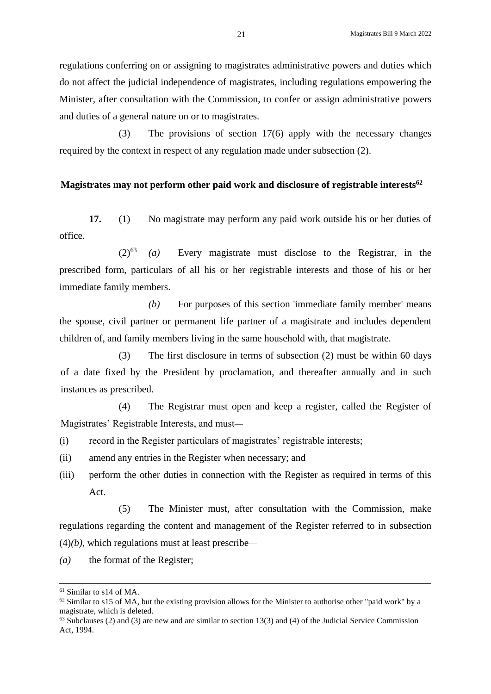regulations conferring on or assigning to magistrates administrative powers and duties which do not affect the judicial independence of magistrates, including regulations empowering the Minister, after consultation with the Commission, to confer or assign administrative powers and duties of a general nature on or to magistrates.

(3) The provisions of section 17(6) apply with the necessary changes required by the context in respect of any regulation made under subsection (2).

#### **Magistrates may not perform other paid work and disclosure of registrable interests<sup>62</sup>**

**17.** (1) No magistrate may perform any paid work outside his or her duties of office.

(2)<sup>63</sup> *(a)* Every magistrate must disclose to the Registrar, in the prescribed form, particulars of all his or her registrable interests and those of his or her immediate family members.

*(b)* For purposes of this section 'immediate family member' means the spouse, civil partner or permanent life partner of a magistrate and includes dependent children of, and family members living in the same household with, that magistrate.

(3) The first disclosure in terms of subsection (2) must be within 60 days of a date fixed by the President by proclamation, and thereafter annually and in such instances as prescribed.

(4) The Registrar must open and keep a register, called the Register of Magistrates' Registrable Interests, and must—

- (i) record in the Register particulars of magistrates' registrable interests;
- (ii) amend any entries in the Register when necessary; and
- (iii) perform the other duties in connection with the Register as required in terms of this Act.

(5) The Minister must, after consultation with the Commission, make regulations regarding the content and management of the Register referred to in subsection  $(4)(b)$ , which regulations must at least prescribe—

*(a)* the format of the Register;

<sup>61</sup> Similar to s14 of MA.

 $62$  Similar to s15 of MA, but the existing provision allows for the Minister to authorise other "paid work" by a magistrate, which is deleted.

 $63$  Subclauses (2) and (3) are new and are similar to section 13(3) and (4) of the Judicial Service Commission Act, 1994.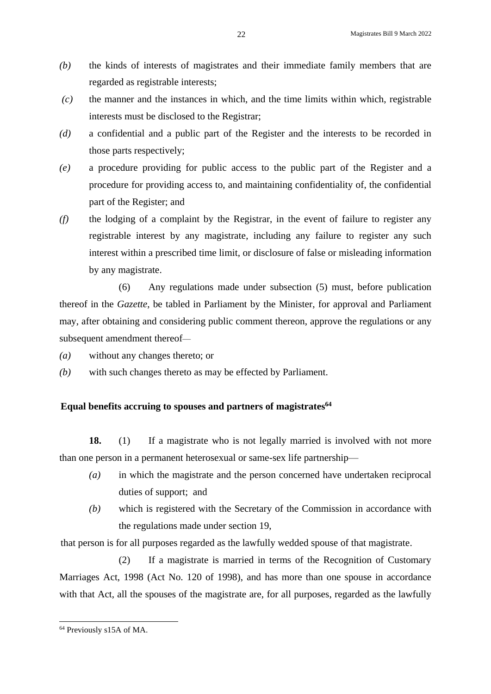- *(b)* the kinds of interests of magistrates and their immediate family members that are regarded as registrable interests;
- *(c)* the manner and the instances in which, and the time limits within which, registrable interests must be disclosed to the Registrar;
- *(d)* a confidential and a public part of the Register and the interests to be recorded in those parts respectively;
- *(e)* a procedure providing for public access to the public part of the Register and a procedure for providing access to, and maintaining confidentiality of, the confidential part of the Register; and
- *(f)* the lodging of a complaint by the Registrar, in the event of failure to register any registrable interest by any magistrate, including any failure to register any such interest within a prescribed time limit, or disclosure of false or misleading information by any magistrate.

(6) Any regulations made under subsection (5) must, before publication thereof in the *Gazette*, be tabled in Parliament by the Minister, for approval and Parliament may, after obtaining and considering public comment thereon, approve the regulations or any subsequent amendment thereof—

- *(a)* without any changes thereto; or
- *(b)* with such changes thereto as may be effected by Parliament.

# **Equal benefits accruing to spouses and partners of magistrates<sup>64</sup>**

18. (1) If a magistrate who is not legally married is involved with not more than one person in a permanent heterosexual or same-sex life partnership—

- *(a)* in which the magistrate and the person concerned have undertaken reciprocal duties of support; and
- *(b)* which is registered with the Secretary of the Commission in accordance with the regulations made under section 19,

that person is for all purposes regarded as the lawfully wedded spouse of that magistrate.

(2) If a magistrate is married in terms of the Recognition of Customary Marriages Act, 1998 (Act No. 120 of 1998), and has more than one spouse in accordance with that Act, all the spouses of the magistrate are, for all purposes, regarded as the lawfully

<sup>64</sup> Previously s15A of MA.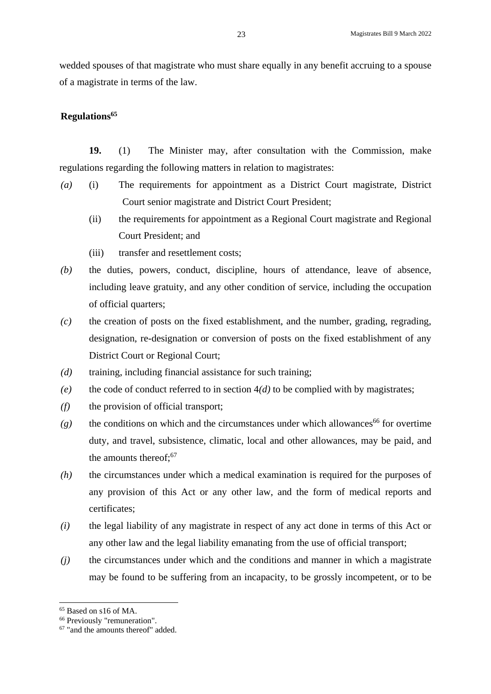wedded spouses of that magistrate who must share equally in any benefit accruing to a spouse of a magistrate in terms of the law.

# **Regulations<sup>65</sup>**

**19.** (1) The Minister may, after consultation with the Commission, make regulations regarding the following matters in relation to magistrates:

- *(a)* (i) The requirements for appointment as a District Court magistrate, District Court senior magistrate and District Court President;
	- (ii) the requirements for appointment as a Regional Court magistrate and Regional Court President; and
	- (iii) transfer and resettlement costs;
- *(b)* the duties, powers, conduct, discipline, hours of attendance, leave of absence, including leave gratuity, and any other condition of service, including the occupation of official quarters;
- *(c)* the creation of posts on the fixed establishment, and the number, grading, regrading, designation, re-designation or conversion of posts on the fixed establishment of any District Court or Regional Court;
- *(d)* training, including financial assistance for such training;
- *(e)* the code of conduct referred to in section  $4(d)$  to be complied with by magistrates;
- *(f)* the provision of official transport;
- $(g)$  the conditions on which and the circumstances under which allowances<sup>66</sup> for overtime duty, and travel, subsistence, climatic, local and other allowances, may be paid, and the amounts thereof; 67
- *(h)* the circumstances under which a medical examination is required for the purposes of any provision of this Act or any other law, and the form of medical reports and certificates;
- *(i)* the legal liability of any magistrate in respect of any act done in terms of this Act or any other law and the legal liability emanating from the use of official transport;
- *(j)* the circumstances under which and the conditions and manner in which a magistrate may be found to be suffering from an incapacity, to be grossly incompetent, or to be

<sup>65</sup> Based on s16 of MA.

<sup>66</sup> Previously "remuneration".

<sup>67</sup> "and the amounts thereof" added.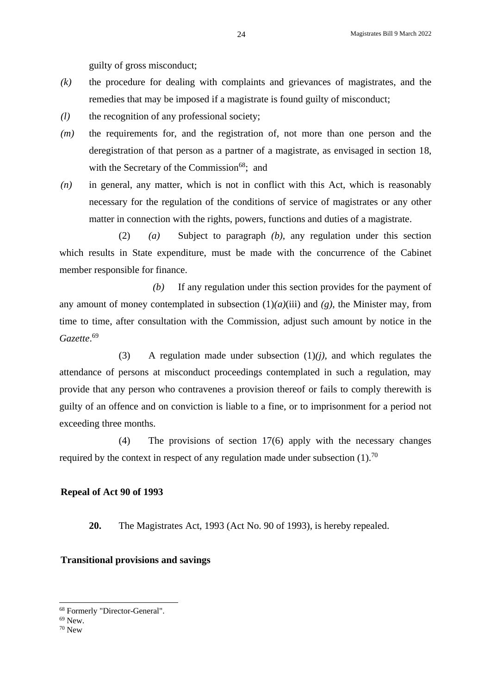guilty of gross misconduct;

- *(k)* the procedure for dealing with complaints and grievances of magistrates, and the remedies that may be imposed if a magistrate is found guilty of misconduct;
- *(l)* the recognition of any professional society;
- *(m)* the requirements for, and the registration of, not more than one person and the deregistration of that person as a partner of a magistrate, as envisaged in section 18, with the Secretary of the Commission<sup>68</sup>; and
- *(n)* in general, any matter, which is not in conflict with this Act, which is reasonably necessary for the regulation of the conditions of service of magistrates or any other matter in connection with the rights, powers, functions and duties of a magistrate.

(2) *(a)* Subject to paragraph *(b)*, any regulation under this section which results in State expenditure, must be made with the concurrence of the Cabinet member responsible for finance.

*(b)* If any regulation under this section provides for the payment of any amount of money contemplated in subsection  $(1)(a)(iii)$  and  $(g)$ , the Minister may, from time to time, after consultation with the Commission, adjust such amount by notice in the *Gazette*. 69

(3) A regulation made under subsection (1)*(j)*, and which regulates the attendance of persons at misconduct proceedings contemplated in such a regulation, may provide that any person who contravenes a provision thereof or fails to comply therewith is guilty of an offence and on conviction is liable to a fine, or to imprisonment for a period not exceeding three months.

(4) The provisions of section 17(6) apply with the necessary changes required by the context in respect of any regulation made under subsection  $(1)$ .<sup>70</sup>

## **Repeal of Act 90 of 1993**

**20.** The Magistrates Act, 1993 (Act No. 90 of 1993), is hereby repealed.

#### **Transitional provisions and savings**

<sup>68</sup> Formerly "Director-General".

<sup>69</sup> New.

<sup>70</sup> New